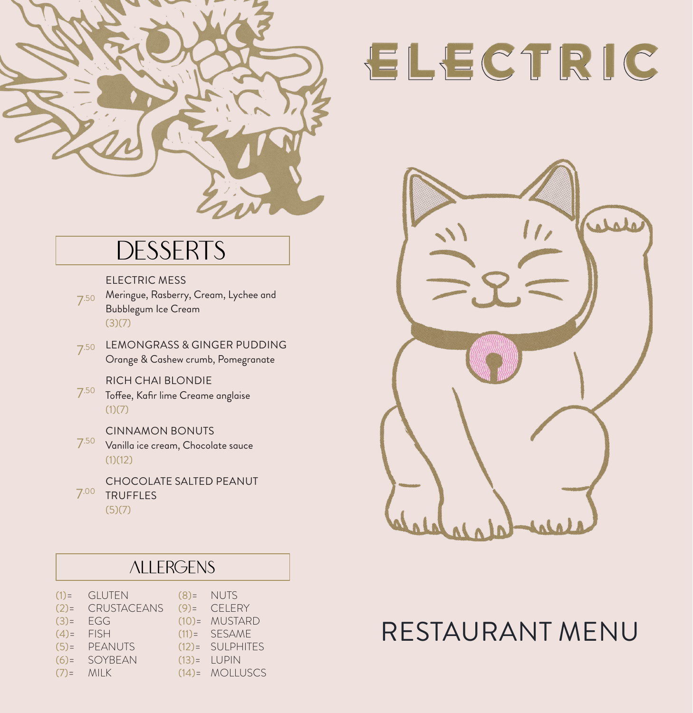

# **DESSERTS**

ELECTRIC MESS

- 7.50 Meringue, Rasberry, Cream, Lychee and Bubblegum Ice Cream  $(3)(7)$
- 7.50 LEMONGRASS & GINGER PUDDING Orange & Cashew crumb, Pomegranate

RICH CHAI BLONDIE

- 7.50 Toffee, Kafir lime Creame anglaise  $(1)(7)$ 
	- CINNAMON BONUTS
- $7.50$  Vanilla ice cream, Chocolate sauce  $(1)(12)$
- 7.00 TRUFFLES CHOCOLATE SALTED PEANUT  $(5)(7)$

# ALLERGENS

| $(1)$ = GLUTEN      | $(8)$ = NUTS      |
|---------------------|-------------------|
| $(2)$ = CRUSTACEANS | $(9)$ = CELERY    |
| $(3) = EGG$         | $(10)=$ MUSTARD   |
| $(4) =$ FISH        | $(11) =$ SESAME   |
| $(5)$ = PEANUTS     | (12)= SULPHITES   |
| $(6) = SOYBEAN$     | $(13) = LUPIN$    |
| $(7) = MILK$        | $(14) = MOLLUSCS$ |
|                     |                   |

# ELECTRIC



# RESTAURANT MENU